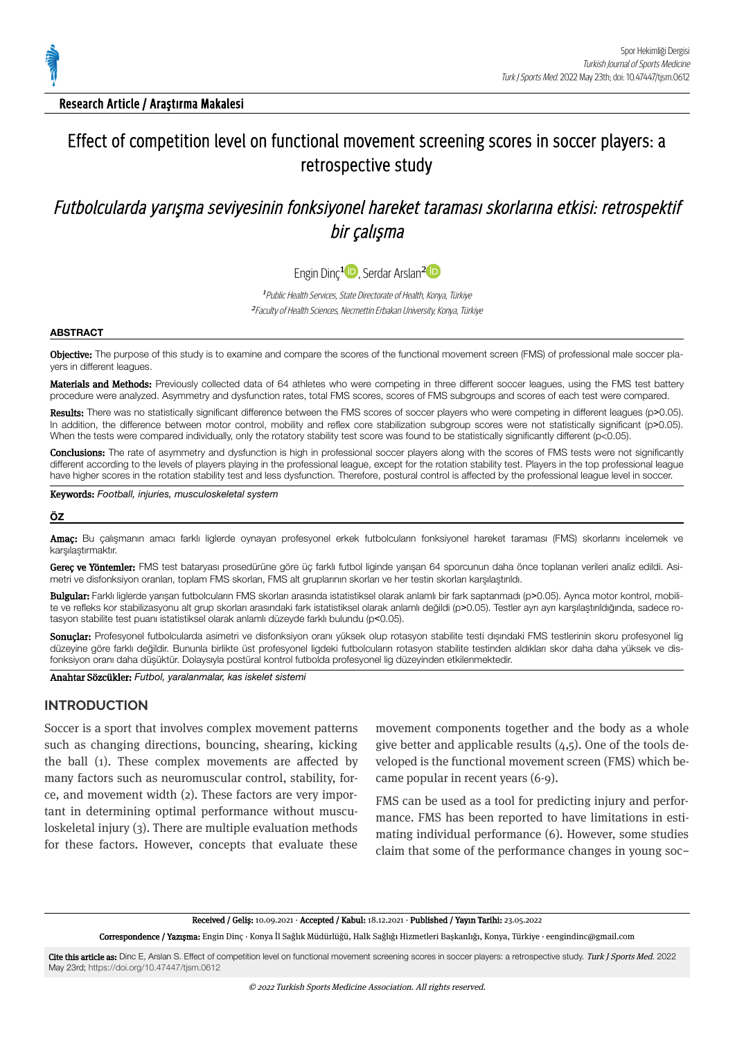

Research Article / Araştırma Makalesi

# Effect of competition level on functional movement screening scores in soccer players: a retrospective study

# Futbolcularda yarışma seviyesinin fonksiyonel hareket taraması skorlarına etkisi: retrospektif bir calısma

Engin Dinç<sup>1</sup><sup>D</sup>, Serdar Arslan<sup>[2](https://orcid.org/0000-0002-5070-2524)1</sup>

<sup>1</sup> Public Health Services, State Directorate of Health, Konya, Türkiye <sup>2</sup> Faculty of Health Sciences, Necmettin Erbakan University, Konya, Türkiye

#### **ABSTRACT**

Objective: The purpose of this study is to examine and compare the scores of the functional movement screen (FMS) of professional male soccer players in different leagues.

Materials and Methods: Previously collected data of 64 athletes who were competing in three different soccer leagues, using the FMS test battery procedure were analyzed. Asymmetry and dysfunction rates, total FMS scores, scores of FMS subgroups and scores of each test were compared.

Results: There was no statistically significant difference between the FMS scores of soccer players who were competing in different leagues (p>0.05). In addition, the difference between motor control, mobility and reflex core stabilization subgroup scores were not statistically significant (p>0.05). When the tests were compared individually, only the rotatory stability test score was found to be statistically significantly different (p<0.05).

Conclusions: The rate of asymmetry and dysfunction is high in professional soccer players along with the scores of FMS tests were not significantly different according to the levels of players playing in the professional league, except for the rotation stability test. Players in the top professional league have higher scores in the rotation stability test and less dysfunction. Therefore, postural control is affected by the professional league level in soccer.

Keywords: *Football, injuries, musculoskeletal system*

#### **ÖZ**

Amaç: Bu çalışmanın amacı farklı liglerde oynayan profesyonel erkek futbolcuların fonksiyonel hareket taraması (FMS) skorlarını incelemek ve karşılaştırmaktır.

Gereç ve Yöntemler: FMS test bataryası prosedürüne göre üç farklı futbol liginde yarışan 64 sporcunun daha önce toplanan verileri analiz edildi. Asimetri ve disfonksiyon oranları, toplam FMS skorları, FMS alt gruplarının skorları ve her testin skorları karşılaştırıldı.

Bulgular: Farklı liglerde yarışan futbolcuların FMS skorları arasında istatistiksel olarak anlamlı bir fark saptanmadı (p>0.05). Ayrıca motor kontrol, mobilite ve refleks kor stabilizasyonu alt grup skorları arasındaki fark istatistiksel olarak anlamlı değildi (p>0.05). Testler ayrı ayrı karşılaştırıldığında, sadece rotasyon stabilite test puanı istatistiksel olarak anlamlı düzeyde farklı bulundu (p˂0.05).

Sonuçlar: Profesyonel futbolcularda asimetri ve disfonksiyon oranı yüksek olup rotasyon stabilite testi dışındaki FMS testlerinin skoru profesyonel lig düzeyine göre farklı değildir. Bununla birlikte üst profesyonel ligdeki futbolcuların rotasyon stabilite testinden aldıkları skor daha daha yüksek ve dis‐ fonksiyon oranı daha düşüktür. Dolaysıyla postüral kontrol futbolda profesyonel lig düzeyinden etkilenmektedir.

Anahtar Sözcükler: *Futbol, yaralanmalar, kas iskelet sistemi*

### **INTRODUCTION**

Soccer is a sport that involves complex movement patterns such as changing directions, bouncing, shearing, kicking the ball (1). These complex movements are affected by many factors such as neuromuscular control, stability, force, and movement wdth (2). These factors are very mportant in determining optimal performance without musculoskeletal injury  $(3)$ . There are multiple evaluation methods for these factors. However, concepts that evaluate these

movement components together and the body as a whole give better and applicable results  $(4,5)$ . One of the tools developed is the functional movement screen (FMS) which became popular in recent years  $(6-9)$ .

FMS can be used as a tool for predicting injury and performance. FMS has been reported to have limitations in estimating individual performance  $(6)$ . However, some studies claim that some of the performance changes in young soc-

Received / Geliș: 10.09.2021 · Accepted / Kabul: 18.12.2021 · Published / Yayın Tarihi: 23.05.2022

Correspondence / Yazışma: Engin Dinç · Konya İl Sağlık Müdürlüğü, Halk Sağlığı Hizmetleri Başkanlığı, Konya, Türkiye · eengindinc@gmail.com

Cite this article as: Dinc E, Arslan S. Effect of competition level on functional movement screening scores in soccer players: a retrospective study. Turk J Sports Med. 2022 May 23rd; <https://doi.org/10.47447/tjsm.0612>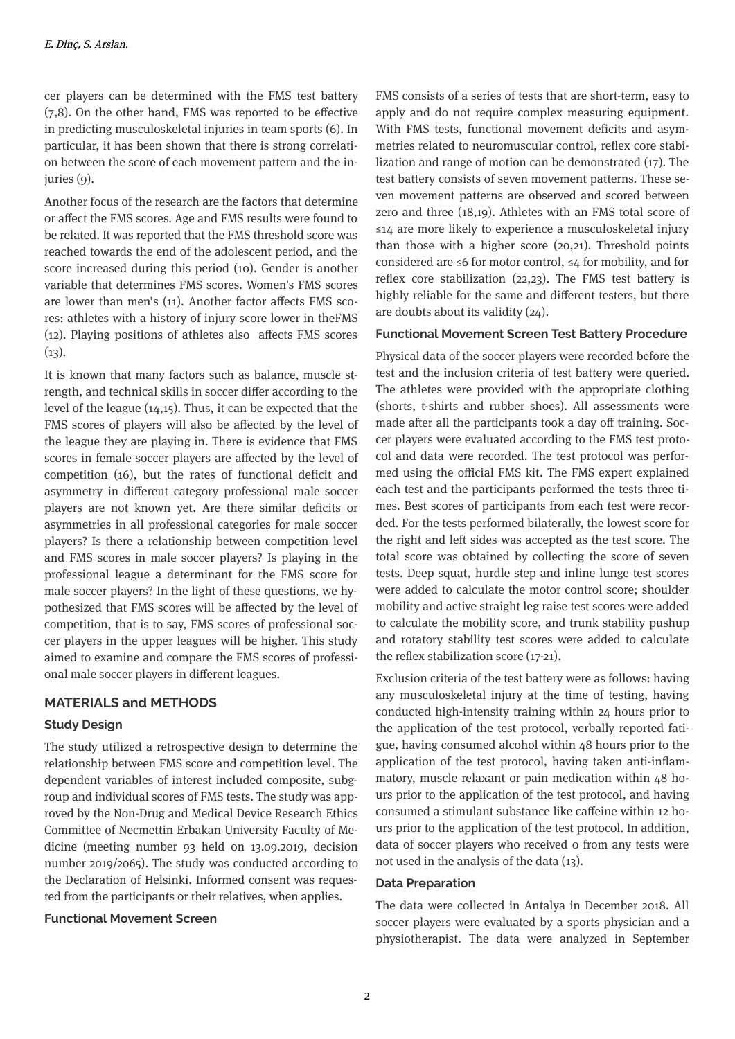cer players can be determined with the FMS test battery  $(7,8)$ . On the other hand, FMS was reported to be effective in predicting musculoskeletal injuries in team sports (6). In particular, it has been shown that there is strong correlation between the score of each movement pattern and the in $juries (9)$ .

Another focus of the research are the factors that determine or affect the FMS scores. Age and FMS results were found to be related. It was reported that the FMS threshold score was reached towards the end of the adolescent period, and the score increased during this period (10). Gender is another variable that determines FMS scores. Women's FMS scores are lower than men's (11). Another factor affects FMS scores: athletes with a history of injury score lower in the FMS  $(12)$ . Playing positions of athletes also affects FMS scores  $(13).$ 

It is known that many factors such as balance, muscle strength, and technical skills in soccer differ according to the level of the league  $(14,15)$ . Thus, it can be expected that the FMS scores of players will also be affected by the level of the league they are playing in. There is evidence that FMS scores in female soccer players are affected by the level of competition (16), but the rates of functional deficit and asymmetry in different category professional male soccer players are not known yet. Are there similar deficits or asymmetries in all professional categories for male soccer players? Is there a relationship between competition level and FMS scores in male soccer players? Is playing in the professional league a determinant for the FMS score for male soccer players? In the light of these questions, we hypothesized that FMS scores will be affected by the level of competition, that is to say, FMS scores of professional soccer players in the upper leagues will be higher. This study aimed to examine and compare the FMS scores of professional male soccer players in different leagues.

# **MATERIALS and METHODS**

## **Study Design**

The study utilized a retrospective design to determine the relationship between FMS score and competition level. The dependent variables of interest included composite, subgroup and individual scores of FMS tests. The study was approved by the Non-Drug and Medical Device Research Ethics Committee of Necmettin Erbakan University Faculty of Medicine (meeting number 93 held on 13.09.2019, decision number 2019/2065). The study was conducted according to the Declaration of Helsinki. Informed consent was requested from the participants or their relatives, when applies.

### **Functional Movement Screen**

FMS consists of a series of tests that are short-term, easy to apply and do not require complex measuring equipment. With FMS tests, functional movement deficits and asymmetries related to neuromuscular control, reflex core stabilization and range of motion can be demonstrated  $(17)$ . The test battery consists of seven movement patterns. These seven movement patterns are observed and scored between zero and three (18,19). Athletes with an FMS total score of ≤14 are more likely to experience a musculoskeletal injury than those with a higher score  $(20,21)$ . Threshold points considered are ≤6 for motor control, ≤4 for mobility, and for reflex core stabilization (22,23). The FMS test battery is highly reliable for the same and different testers, but there are doubts about its validity  $(24)$ .

## **Functional Movement Screen Test Battery Procedure**

Physical data of the soccer players were recorded before the test and the inclusion criteria of test battery were queried. The athletes were provided with the appropriate clothing (shorts, t-shrts and rubber shoes). All assessments were made after all the participants took a day off training. Soccer players were evaluated according to the FMS test protocol and data were recorded. The test protocol was performed using the official FMS kit. The FMS expert explained each test and the participants performed the tests three times. Best scores of participants from each test were recorded. For the tests performed blaterally, the lowest score for the right and left sides was accepted as the test score. The total score was obtained by collecting the score of seven tests. Deep squat, hurdle step and inline lunge test scores were added to calculate the motor control score; shoulder mobility and active straight leg raise test scores were added to calculate the mobility score, and trunk stability pushup and rotatory stability test scores were added to calculate the reflex stabilization score  $(17-21)$ .

Exclusion criteria of the test battery were as follows: having any musculoskeletal injury at the time of testing, having conducted high-intensity training within 24 hours prior to the application of the test protocol, verbally reported fatigue, having consumed alcohol within 48 hours prior to the application of the test protocol, having taken anti-inflammatory, muscle relaxant or pain medication within 48 hours prior to the application of the test protocol, and having consumed a stimulant substance like caffeine within 12 hours prior to the application of the test protocol. In addition, data of soccer players who received o from any tests were not used in the analysis of the data  $(13)$ .

## **Data Preparation**

The data were collected in Antalya in December 2018. All soccer players were evaluated by a sports physician and a physiotherapist. The data were analyzed in September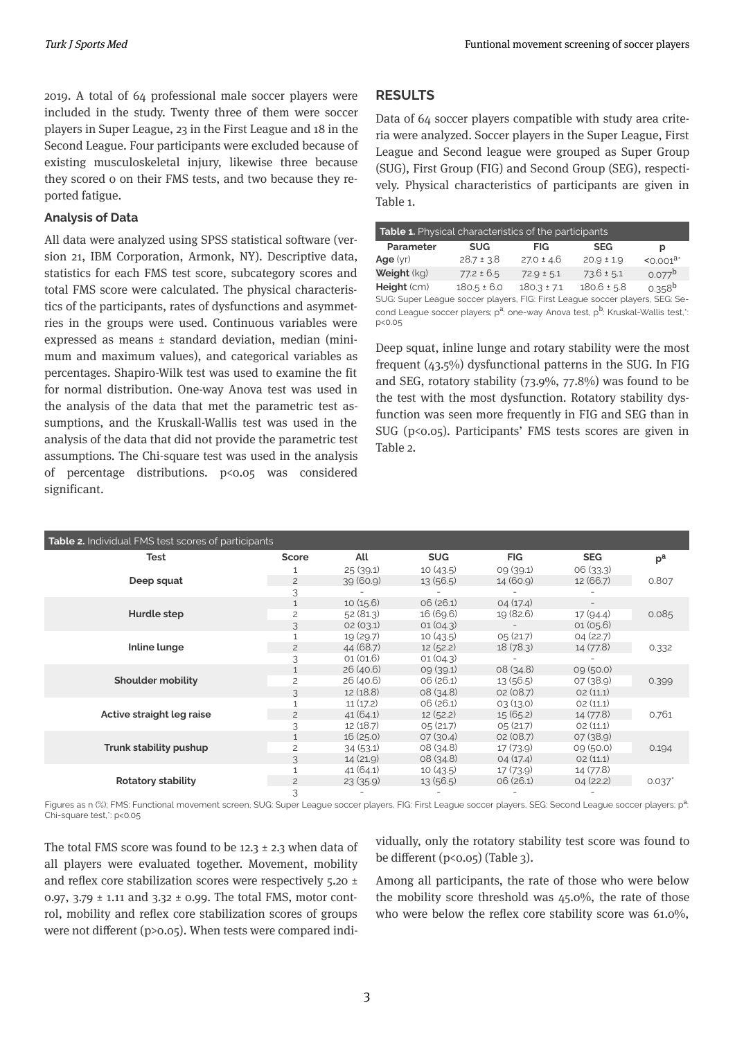2019. A total of 64 professonal male soccer players were included in the study. Twenty three of them were soccer players in Super League, 23 in the First League and 18 in the Second League. Four participants were excluded because of existing musculoskeletal injury, likewise three because they scored 0 on their FMS tests, and two because they reported fatigue.

## **Analyss of Data**

All data were analyzed using SPSS statistical software (version 21, IBM Corporation, Armonk, NY). Descriptive data, statistics for each FMS test score, subcategory scores and total FMS score were calculated. The physical characteristics of the participants, rates of dysfunctions and asymmetries in the groups were used. Continuous variables were expressed as means  $\pm$  standard deviation, median (minimum and maximum values), and categorical variables as percentages. Shapiro-Wilk test was used to examine the fit for normal distribution. One-way Anova test was used in the analysis of the data that met the parametric test assumptions, and the Kruskall-Wallis test was used in the analysis of the data that did not provide the parametric test assumptions. The Chi-square test was used in the analysis of percentage distributions. p<0.05 was considered significant.

# **RESULTS**

p<0.05

Data of 64 soccer players compatible with study area criteria were analyzed. Soccer players in the Super League, First League and Second league were grouped as Super Group (SUG), First Group (FIG) and Second Group (SEG), respectively. Physical characteristics of participants are given in Table 1.

| <b>Table 1.</b> Physical characteristics of the participants                                             |                 |                 |                 |                    |  |  |
|----------------------------------------------------------------------------------------------------------|-----------------|-----------------|-----------------|--------------------|--|--|
| Parameter                                                                                                | <b>SUG</b>      | <b>FIG</b>      | <b>SEG</b>      | р                  |  |  |
| Age $(yr)$                                                                                               | $28.7 \pm 3.8$  | $27.0 \pm 4.6$  | $20.9 \pm 1.9$  | $0.001a$           |  |  |
| Weight (kg)                                                                                              | $77.2 \pm 6.5$  | $72.9 \pm 5.1$  | $73.6 \pm 5.1$  | $0.077^{b}$        |  |  |
| Height (cm)                                                                                              | $180.5 \pm 6.0$ | $180.3 \pm 7.1$ | $180.6 \pm 5.8$ | 0.358 <sup>b</sup> |  |  |
| SUG: Super League soccer players, FIG: First League soccer players, SEG: Se-                             |                 |                 |                 |                    |  |  |
| cond League soccer players; p <sup>a</sup> : one-way Anova test, p <sup>b</sup> : Kruskal-Wallis test,*: |                 |                 |                 |                    |  |  |

Deep squat, inline lunge and rotary stability were the most frequent  $(43.5\%)$  dysfunctional patterns in the SUG. In FIG and SEG, rotatory stability  $(73.9\%, 77.8\%)$  was found to be the test with the most dysfunction. Rotatory stability dysfunction was seen more frequently in FIG and SEG than in  $SUG$  (p<0.05). Participants' FMS tests scores are given in Table 2.

| <b>Table 2.</b> Individual FMS test scores of participants |                |           |            |            |            |                  |
|------------------------------------------------------------|----------------|-----------|------------|------------|------------|------------------|
| Test                                                       | Score          | All       | <b>SUG</b> | <b>FIG</b> | <b>SEG</b> | $p^{\mathrm{a}}$ |
|                                                            |                | 25(39.1)  | 10(43.5)   | 09 (39.1)  | 06(33.3)   |                  |
| Deep squat                                                 | $\overline{c}$ | 39(60.9)  | 13(56.5)   | 14 (60.9)  | 12 (66.7)  | 0.807            |
|                                                            | 3              |           |            |            |            |                  |
| Hurdle step                                                |                | 10(15.6)  | 06(26.1)   | 04(17.4)   |            |                  |
|                                                            | $\overline{c}$ | 52(81.3)  | 16 (69.6)  | 19 (82.6)  | 17(94.4)   | 0.085            |
|                                                            | 3              | 02(03.1)  | 01(04.3)   |            | 01(05.6)   |                  |
| Inline lunge                                               |                | 19 (29.7) | 10(43.5)   | 0,5(21.7)  | 04(22.7)   |                  |
|                                                            | $\overline{c}$ | 44 (68.7) | 12(52.2)   | 18(78.3)   | 14 (77.8)  | 0.332            |
|                                                            | 3              | 01(01.6)  | 01(04.3)   |            |            |                  |
|                                                            |                | 26(40.6)  | 09(39.1)   | 08(34.8)   | 09(50.0)   |                  |
| Shoulder mobility                                          | $\overline{c}$ | 26 (40.6) | 06(26.1)   | 13(56.5)   | 07(38.9)   | 0.399            |
|                                                            |                | 12(18.8)  | 08(34.8)   | 02(08.7)   | O2(11.1)   |                  |
|                                                            |                | 11(17.2)  | 06(26.1)   | 0.3(13.0)  | O2(11.1)   |                  |
| Active straight leg raise                                  | $\overline{c}$ | 41(64.1)  | 12(52.2)   | 15(65.2)   | 14 (77.8)  | 0.761            |
|                                                            | 3              | 12(18.7)  | 0,5(21.7)  | 0,5(21.7)  | O2(11.1)   |                  |
|                                                            |                | 16(25.0)  | 07(30.4)   | 02(08.7)   | 07(38.9)   |                  |
| Trunk stability pushup                                     | $\overline{c}$ | 34(53.1)  | 08(34.8)   | 17(73.9)   | 09(50.0)   | 0.194            |
|                                                            | 3              | 14(21.9)  | 08(34.8)   | 04(17.4)   | O2(11.1)   |                  |
|                                                            |                | 41 (64.1) | 10(43.5)   | 17(73.9)   | 14 (77.8)  |                  |
| <b>Rotatory stability</b>                                  | $\overline{c}$ | 23(35.9)  | 13(56.5)   | 06(26.1)   | 04(22.2)   | $0.037$ *        |
|                                                            | 3              |           |            |            |            |                  |

Figures as n (%); FMS: Functional movement screen, SUG: Super League soccer players, FIG: First League soccer players, SEG: Second League soccer players; p<sup>a</sup>: Chi-square test,\*: p<0.05

The total FMS score was found to be 12.3  $\pm$  2.3 when data of all players were evaluated together. Movement, mobility and reflex core stabilization scores were respectively  $5.20 \pm$ 0.97, 3.79  $\pm$  1.11 and 3.32  $\pm$  0.99. The total FMS, motor control, mobility and reflex core stabilization scores of groups were not different ( $p>0.05$ ). When tests were compared individually, only the rotatory stability test score was found to be different  $(p<0.05)$  (Table 3).

Among all participants, the rate of those who were below the mobility score threshold was  $45.0\%$ , the rate of those who were below the reflex core stability score was  $61.0\%$ ,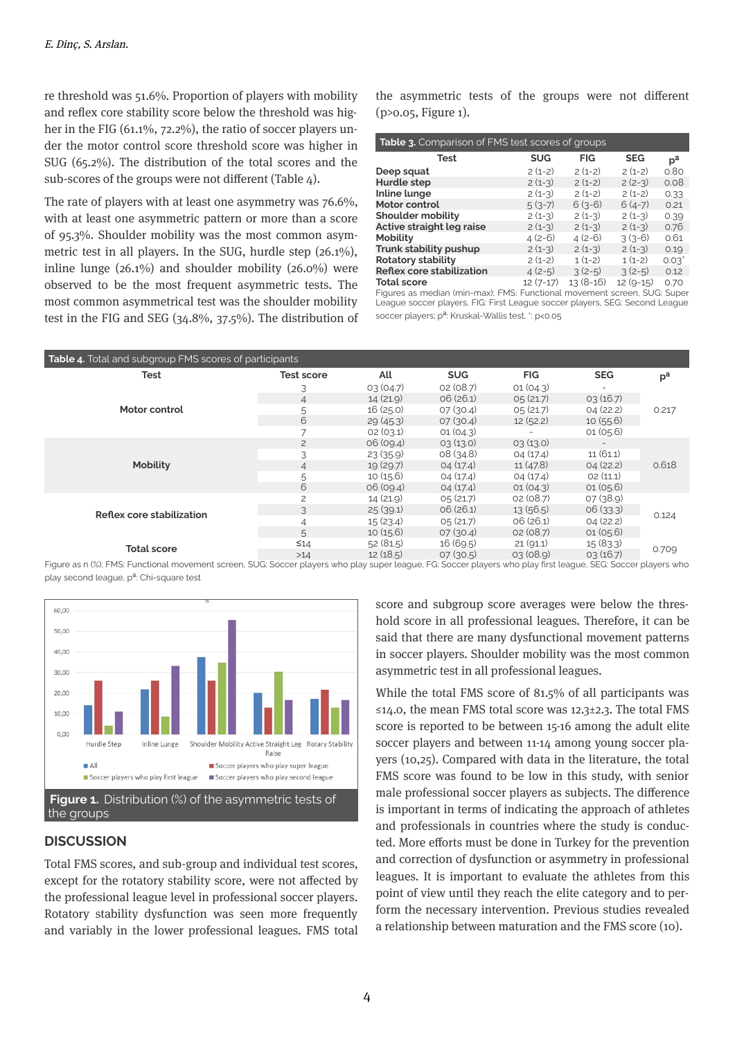re threshold was 51.6%. Proportion of players with mobility and reflex core stability score below the threshold was higher in the FIG  $(61.1\%, 72.2\%)$ , the ratio of soccer players under the motor control score threshold score was higher in SUG  $(65.2\%)$ . The distribution of the total scores and the sub-scores of the groups were not different (Table  $4$ ).

The rate of players wth at least one asymmetry was 76.6%, with at least one asymmetric pattern or more than a score of 95.3%. Shoulder mobility was the most common asymmetric test in all players. In the SUG, hurdle step  $(26.1\%)$ , inline lunge  $(26.1\%)$  and shoulder mobility  $(26.0\%)$  were observed to be the most frequent asymmetric tests. The most common asymmetrical test was the shoulder mobility test in the FIG and SEG  $(34.8\%, 37.5\%)$ . The distribution of the asymmetric tests of the groups were not different  $(p>0.05,$  Figure 1).

| <b>Table 3.</b> Comparison of FMS test scores of groups |            |            |            |             |  |
|---------------------------------------------------------|------------|------------|------------|-------------|--|
| Test                                                    | <b>SUG</b> | <b>FIG</b> | <b>SEG</b> | $p^{\rm a}$ |  |
| Deep squat                                              | $2(1-2)$   | $2(1-2)$   | $2(1-2)$   | 0.80        |  |
| Hurdle step                                             | $2(1-3)$   | $2(1-2)$   | $2(2-3)$   | 0.08        |  |
| Inline lunge                                            | $2(1-3)$   | $2(1-2)$   | $2(1-2)$   | 0.33        |  |
| Motor control                                           | $5(3-7)$   | $6(3-6)$   | $6(4-7)$   | 0.21        |  |
| <b>Shoulder mobility</b>                                | $2(1-3)$   | $2(1-3)$   | $2(1-3)$   | 0.39        |  |
| Active straight leg raise                               | $2(1-3)$   | $2(1-3)$   | $2(1-3)$   | 0.76        |  |
| <b>Mobility</b>                                         | $4(2-6)$   | $4(2-6)$   | $3(3-6)$   | 0.61        |  |
| Trunk stability pushup                                  | $2(1-3)$   | $2(1-3)$   | $2(1-3)$   | 0.19        |  |
| <b>Rotatory stability</b>                               | $2(1-2)$   | $1(1-2)$   | $1(1-2)$   | $0.03^*$    |  |
| <b>Reflex core stabilization</b>                        | $4(2-5)$   | $3(2-5)$   | $3(2-5)$   | 0.12        |  |
| <b>Total score</b>                                      | $12(7-17)$ | $13(8-16)$ | $12(9-15)$ | 0.70        |  |

Figures as median (min-max); FMS: Functional movement screen, SUG: Super League soccer players, FIG: First League soccer players, SEG: Second League soccer players; p<sup>a</sup>: Kruskal-Wallis test, \*: p<0.05

| <b>Table 4.</b> Total and subgroup FMS scores of participants |                   |           |            |            |            |                  |
|---------------------------------------------------------------|-------------------|-----------|------------|------------|------------|------------------|
| <b>Test</b>                                                   | <b>Test score</b> | All       | <b>SUG</b> | <b>FIG</b> | <b>SEG</b> | $p^{\mathrm{a}}$ |
|                                                               | 3                 | 0.3(04.7) | 02(08.7)   | 01(04.3)   |            |                  |
|                                                               | 4                 | 14(21.9)  | 06(26.1)   | 0,5(21.7)  | 0.3(16.7)  |                  |
| Motor control                                                 | 5                 | 16(25.0)  | 07(30.4)   | 0,5(21.7)  | 04(22.2)   | 0.217            |
|                                                               | 6                 | 29(45.3)  | 07(30.4)   | 12(52.2)   | 10(55.6)   |                  |
|                                                               | 7                 | 02(03.1)  | 01(04.3)   |            | 01(05.6)   |                  |
|                                                               | $\overline{c}$    | 06(09.4)  | 0.3(13.0)  | 0.3(13.0)  |            | 0.618            |
|                                                               | 3                 | 23(35.9)  | 08(34.8)   | 04(17.4)   | 11(61.1)   |                  |
| <b>Mobility</b>                                               | 4                 | 19(29.7)  | 04(17.4)   | 11(47.8)   | 04(22.2)   |                  |
|                                                               | 5                 | 10(15.6)  | 04(17.4)   | 04(17.4)   | O2(11.1)   |                  |
|                                                               | 6                 | 06(09.4)  | 04(17.4)   | 01(04.3)   | 01(05.6)   |                  |
|                                                               | $\overline{c}$    | 14 (21.9) | 0,5(21.7)  | 02(08.7)   | 07 (38.9)  | 0.124            |
| Reflex core stabilization                                     | 3                 | 25(39.1)  | 06(26.1)   | 13(56.5)   | 06(33.3)   |                  |
|                                                               | 4                 | 15(23.4)  | 0,5(21.7)  | 06(26.1)   | 04(22.2)   |                  |
|                                                               | 5                 | 10(15.6)  | 07(30.4)   | 02(08.7)   | 01(05.6)   |                  |
| <b>Total score</b>                                            | $\leq 14$         | 52(81.5)  | 16(69.5)   | 21(91.1)   | 15(83.3)   | 0.709            |
|                                                               | $>14$             | 12(18.5)  | 07(30.5)   | 0.3(0.8.9) | 03(16.7)   |                  |

Figure as n (%); FMS: Functional movement screen, SUG: Soccer players who play super league, FG: Soccer players who play first league, SEG: Soccer players who play second league, p<sup>a</sup>: Chi-square test



# **DISCUSSION**

Total FMS scores, and sub-group and individual test scores, except for the rotatory stability score, were not affected by the professional league level in professional soccer players. Rotatory stability dysfunction was seen more frequently and variably in the lower professional leagues. FMS total score and subgroup score averages were below the threshold score in all professional leagues. Therefore, it can be said that there are many dysfunctional movement patterns in soccer players. Shoulder mobility was the most common asymmetric test in all professional leagues.

While the total FMS score of 81.5% of all participants was ≤14.0, the mean FMS total score was 12.3±2.3. The total FMS score is reported to be between 15-16 among the adult elite soccer players and between 11-14 among young soccer players  $(10,25)$ . Compared with data in the literature, the total FMS score was found to be low in this study, with senior male professional soccer players as subjects. The difference is important in terms of indicating the approach of athletes and professionals in countries where the study is conducted. More efforts must be done in Turkey for the prevention and correction of dysfunction or asymmetry in professional leagues. It is important to evaluate the athletes from this point of view until they reach the elite category and to perform the necessary intervention. Previous studies revealed a relationship between maturation and the FMS score (10).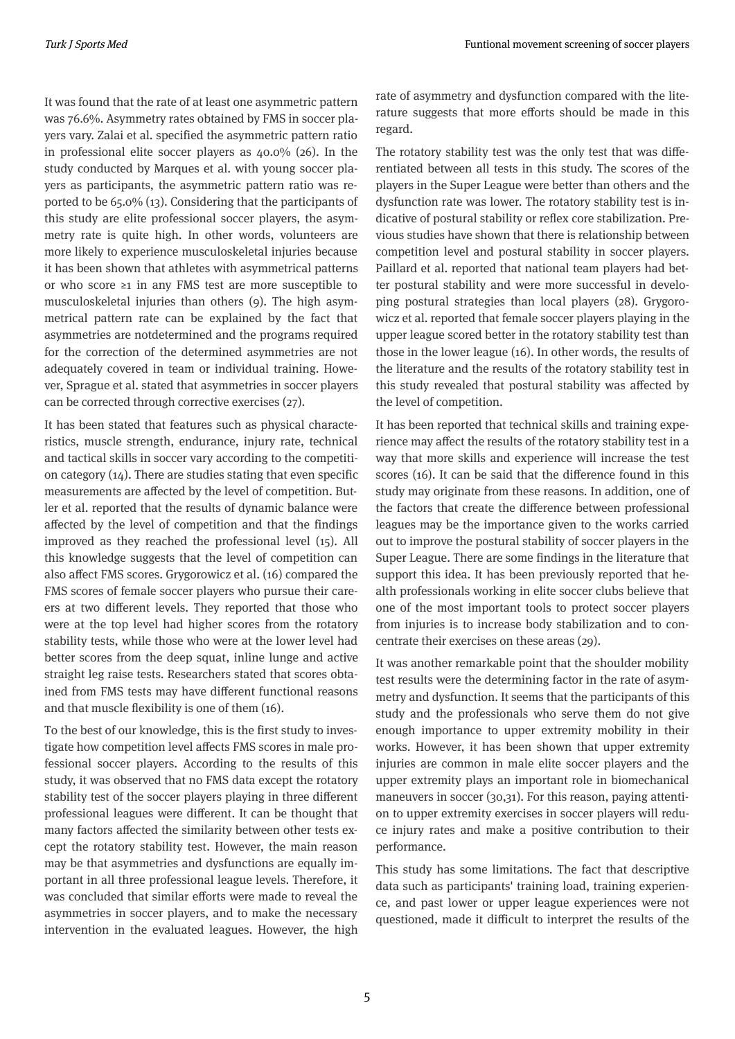It was found that the rate of at least one asymmetric pattern was 76.6%. Asymmetry rates obtained by FMS in soccer players vary. Zalai et al. specified the asymmetric pattern ratio in professional elite soccer players as  $40.0\%$  (26). In the study conducted by Marques et al. wth young soccer players as participants, the asymmetric pattern ratio was reported to be  $65.0\%$  (13). Considering that the participants of this study are elite professional soccer players, the asymmetry rate is quite high. In other words, volunteers are more likely to experience musculoskeletal injuries because it has been shown that athletes with asymmetrical patterns or who score  $\geq 1$  in any FMS test are more susceptible to musculoskeletal injuries than others (9). The high asymmetrical pattern rate can be explained by the fact that asymmetries are notdetermined and the programs required for the correction of the determined asymmetries are not adequately covered in team or individual training. However, Sprague et al. stated that asymmetries in soccer players can be corrected through corrective exercises (27).

It has been stated that features such as physical characteristics, muscle strength, endurance, injury rate, technical and tactical skills in soccer vary according to the competition category  $(14)$ . There are studies stating that even specific measurements are affected by the level of competition. Butler et al. reported that the results of dynamic balance were affected by the level of competition and that the findings improved as they reached the professional level (15). All this knowledge suggests that the level of competition can also affect FMS scores. Grygorowicz et al. (16) compared the FMS scores of female soccer players who pursue their careers at two different levels. They reported that those who were at the top level had hgher scores from the rotatory stability tests, while those who were at the lower level had better scores from the deep squat, inline lunge and active straight leg raise tests. Researchers stated that scores obtained from FMS tests may have different functional reasons and that muscle flexibility is one of them (16).

To the best of our knowledge, this is the first study to investigate how competition level affects FMS scores in male professional soccer players. According to the results of this study, it was observed that no FMS data except the rotatory stability test of the soccer players playing in three different professional leagues were different. It can be thought that many factors affected the similarity between other tests except the rotatory stability test. However, the main reason may be that asymmetries and dysfunctions are equally important in all three professional league levels. Therefore, it was concluded that similar efforts were made to reveal the asymmetries in soccer players, and to make the necessary intervention in the evaluated leagues. However, the high rate of asymmetry and dysfunction compared with the literature suggests that more efforts should be made in this regard.

The rotatory stability test was the only test that was differentiated between all tests in this study. The scores of the players in the Super League were better than others and the dysfunction rate was lower. The rotatory stability test is indicative of postural stability or reflex core stabilization. Previous studies have shown that there is relationship between competition level and postural stability in soccer players. Paillard et al. reported that national team players had better postural stability and were more successful in developing postural strategies than local players (28). Grygorowicz et al. reported that female soccer players playing in the upper league scored better in the rotatory stability test than those in the lower league  $(16)$ . In other words, the results of the literature and the results of the rotatory stability test in this study revealed that postural stability was affected by the level of competition.

It has been reported that technical skills and training experience may affect the results of the rotatory stability test in a way that more skills and experience will increase the test scores (16). It can be said that the difference found in this study may originate from these reasons. In addition, one of the factors that create the difference between professional leagues may be the importance given to the works carried out to improve the postural stability of soccer players in the Super League. There are some findings in the literature that support this idea. It has been previously reported that health professionals working in elite soccer clubs believe that one of the most mportant tools to protect soccer players from injuries is to increase body stabilization and to concentrate their exercises on these areas (29).

It was another remarkable point that the shoulder mobility test results were the determining factor in the rate of asymmetry and dysfunction. It seems that the participants of this study and the professionals who serve them do not give enough importance to upper extremity mobility in their works. However, it has been shown that upper extremity injuries are common in male elite soccer players and the upper extremity plays an important role in biomechanical maneuvers in soccer  $(30,31)$ . For this reason, paying attention to upper extremity exercises in soccer players will reduce injury rates and make a positive contribution to their performance.

This study has some limitations. The fact that descriptive data such as participants' training load, training experience, and past lower or upper league experiences were not questioned, made it difficult to interpret the results of the